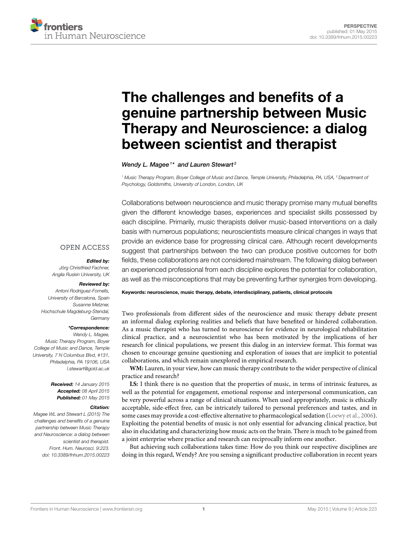

# The challenges and benefits of a genuine partnership between Music [Therapy and Neuroscience: a dialog](http://journal.frontiersin.org/article/10.3389/fnhum.2015.00223/abstract) between scientist and therapist

# [Wendy L. Magee](http://community.frontiersin.org/people/u/127385)<sup>1\*</sup> and [Lauren Stewart](http://community.frontiersin.org/people/u/21277)<sup>2</sup>

<sup>1</sup> Music Therapy Program, Boyer College of Music and Dance, Temple University, Philadelphia, PA, USA, <sup>2</sup> Department of Psychology, Goldsmiths, University of London, London, UK

Collaborations between neuroscience and music therapy promise many mutual benefits given the different knowledge bases, experiences and specialist skills possessed by each discipline. Primarily, music therapists deliver music-based interventions on a daily basis with numerous populations; neuroscientists measure clinical changes in ways that provide an evidence base for progressing clinical care. Although recent developments suggest that partnerships between the two can produce positive outcomes for both fields, these collaborations are not considered mainstream. The following dialog between an experienced professional from each discipline explores the potential for collaboration, as well as the misconceptions that may be preventing further synergies from developing.

# **OPEN ACCESS**

#### Edited by:

Jörg Christfried Fachner, Anglia Ruskin University, UK

#### Reviewed by:

Antoni Rodriguez-Fornells, University of Barcelona, Spain Susanne Metzner, Hochschule Magdeburg-Stendal, **Germany** 

## \*Correspondence:

Wendy L. Magee, Music Therapy Program, Boyer College of Music and Dance, Temple University, 7 N Columbus Blvd, #131, Philadelphia, PA 19106, USA [l.stewart@gold.ac.uk](mailto:l.stewart@gold.ac.uk)

> Received: 14 January 2015 Accepted: 08 April 2015 Published: 01 May 2015

### Citation:

Magee WL and Stewart L (2015) The challenges and benefits of a genuine partnership between Music Therapy and Neuroscience: a dialog between scientist and therapist. Front. Hum. Neurosci. 9:223. doi: [10.3389/fnhum.2015.00223](http://dx.doi.org/10.3389/fnhum.2015.00223) Keywords: neuroscience, music therapy, debate, interdisciplinary, patients, clinical protocols

Two professionals from different sides of the neuroscience and music therapy debate present an informal dialog exploring realities and beliefs that have benefited or hindered collaboration. As a music therapist who has turned to neuroscience for evidence in neurological rehabilitation clinical practice, and a neuroscientist who has been motivated by the implications of her research for clinical populations, we present this dialog in an interview format. This format was chosen to encourage genuine questioning and exploration of issues that are implicit to potential collaborations, and which remain unexplored in empirical research.

**WM:** Lauren, in your view, how can music therapy contribute to the wider perspective of clinical practice and research?

**LS:** I think there is no question that the properties of music, in terms of intrinsic features, as well as the potential for engagement, emotional response and interpersonal communication, can be very powerful across a range of clinical situations. When used appropriately, music is ethically acceptable, side-effect free, can be intricately tailored to personal preferences and tastes, and in some cases may provide a cost-effective alternative to pharmacological sedation [\(Loewy et al., 2006\)](#page-3-0). Exploiting the potential benefits of music is not only essential for advancing clinical practice, but also in elucidating and characterizing how music acts on the brain. There is much to be gained from a joint enterprise where practice and research can reciprocally inform one another.

But achieving such collaborations takes time: How do you think our respective disciplines are doing in this regard, Wendy? Are you sensing a significant productive collaboration in recent years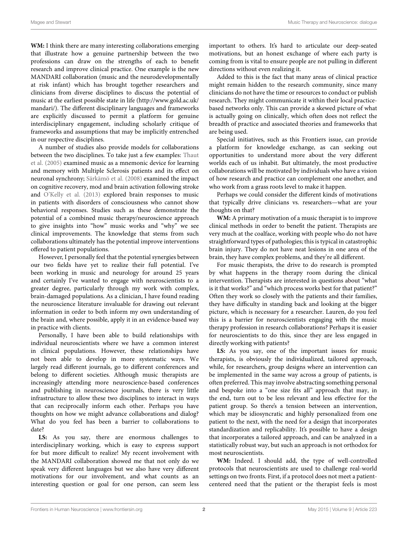**WM:** I think there are many interesting collaborations emerging that illustrate how a genuine partnership between the two professions can draw on the strengths of each to benefit research and improve clinical practice. One example is the new MANDARI collaboration (music and the neurodevelopmentally at risk infant) which has brought together researchers and clinicians from diverse disciplines to discuss the potential of music at the earliest possible state in life [\(http://www.gold.ac.uk/](http://www.gold.ac.uk/mandari/) [mandari/\)](http://www.gold.ac.uk/mandari/). The different disciplinary languages and frameworks are explicitly discussed to permit a platform for genuine interdisciplinary engagement, including scholarly critique of frameworks and assumptions that may be implicitly entrenched in our respective disciplines.

A number of studies also provide models for collaborations between the two disciplines. To take just a few examples: Thaut et al. [\(2005\)](#page-3-1) examined music as a mnemonic device for learning and memory with Multiple Sclerosis patients and its effect on neuronal synchrony; [Särkämö et al. \(2008\)](#page-3-2) examined the impact on cognitive recovery, mod and brain activation following stroke and [O'Kelly et al. \(2013\)](#page-3-3) explored brain responses to music in patients with disorders of consciousness who cannot show behavioral responses. Studies such as these demonstrate the potential of a combined music therapy/neuroscience approach to give insights into "how" music works and "why" we see clinical improvements. The knowledge that stems from such collaborations ultimately has the potential improve interventions offered to patient populations.

However, I personally feel that the potential synergies between our two fields have yet to realize their full potential. I've been working in music and neurology for around 25 years and certainly I've wanted to engage with neuroscientists to a greater degree, particularly through my work with complex, brain-damaged populations. As a clinician, I have found reading the neuroscience literature invaluable for drawing out relevant information in order to both inform my own understanding of the brain and, where possible, apply it in an evidence-based way in practice with clients.

Personally, I have been able to build relationships with individual neuroscientists where we have a common interest in clinical populations. However, these relationships have not been able to develop in more systematic ways. We largely read different journals, go to different conferences and belong to different societies. Although music therapists are increasingly attending more neuroscience-based conferences and publishing in neuroscience journals, there is very little infrastructure to allow these two disciplines to interact in ways that can reciprocally inform each other. Perhaps you have thoughts on how we might advance collaborations and dialog? What do you feel has been a barrier to collaborations to date?

**LS:** As you say, there are enormous challenges to interdisciplinary working, which is easy to express support for but more difficult to realize! My recent involvement with the MANDARI collaboration showed me that not only do we speak very different languages but we also have very different motivations for our involvement, and what counts as an interesting question or goal for one person, can seem less important to others. It's hard to articulate our deep-seated motivations, but an honest exchange of where each party is coming from is vital to ensure people are not pulling in different directions without even realizing it.

Added to this is the fact that many areas of clinical practice might remain hidden to the research community, since many clinicians do not have the time or resources to conduct or publish research. They might communicate it within their local practicebased networks only. This can provide a skewed picture of what is actually going on clinically, which often does not reflect the breadth of practice and associated theories and frameworks that are being used.

Special initiatives, such as this Frontiers issue, can provide a platform for knowledge exchange, as can seeking out opportunities to understand more about the very different worlds each of us inhabit. But ultimately, the most productive collaborations will be motivated by individuals who have a vision of how research and practice can complement one another, and who work from a grass roots level to make it happen.

Perhaps we could consider the different kinds of motivations that typically drive clinicians vs. researchers—what are your thoughts on that?

**WM:** A primary motivation of a music therapist is to improve clinical methods in order to benefit the patient. Therapists are very much at the coalface, working with people who do not have straightforward types of pathologies; this is typical in catastrophic brain injury. They do not have neat lesions in one area of the brain, they have complex problems, and they're all different.

For music therapists, the drive to do research is prompted by what happens in the therapy room during the clinical intervention. Therapists are interested in questions about "what is it that works?" and "which process works best for that patient?" Often they work so closely with the patients and their families, they have difficulty in standing back and looking at the bigger picture, which is necessary for a researcher. Lauren, do you feel this is a barrier for neuroscientists engaging with the music therapy profession in research collaborations? Perhaps it is easier for neuroscientists to do this, since they are less engaged in directly working with patients?

**LS:** As you say, one of the important issues for music therapists, is obviously the individualized, tailored approach, while, for researchers, group designs where an intervention can be implemented in the same way across a group of patients, is often preferred. This may involve abstracting something personal and bespoke into a "one size fits all" approach that may, in the end, turn out to be less relevant and less effective for the patient group. So there's a tension between an intervention, which may be idiosyncratic and highly personalized from one patient to the next, with the need for a design that incorporates standardization and replicability. It's possible to have a design that incorporates a tailored approach, and can be analyzed in a statistically robust way, but such an approach is not orthodox for most neuroscientists.

**WM:** Indeed. I should add, the type of well-controlled protocols that neuroscientists are used to challenge real-world settings on two fronts. First, if a protocol does not meet a patientcentered need that the patient or the therapist feels is most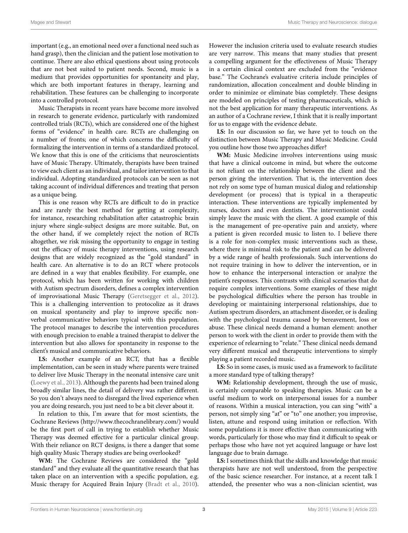important (e.g., an emotional need over a functional need such as hand grasp), then the clinician and the patient lose motivation to continue. There are also ethical questions about using protocols that are not best suited to patient needs. Second, music is a medium that provides opportunities for spontaneity and play, which are both important features in therapy, learning and rehabilitation. These features can be challenging to incorporate into a controlled protocol.

Music Therapists in recent years have become more involved in research to generate evidence, particularly with randomized controlled trials (RCTs), which are considered one of the highest forms of "evidence" in health care. RCTs are challenging on a number of fronts; one of which concerns the difficulty of formalizing the intervention in terms of a standardized protocol. We know that this is one of the criticisms that neuroscientists have of Music Therapy. Ultimately, therapists have been trained to view each client as an individual, and tailor intervention to that individual. Adopting standardized protocols can be seen as not taking account of individual differences and treating that person as a unique being.

This is one reason why RCTs are difficult to do in practice and are rarely the best method for getting at complexity, for instance, researching rehabilitation after catastrophic brain injury where single-subject designs are more suitable. But, on the other hand, if we completely reject the notion of RCTs altogether, we risk missing the opportunity to engage in testing out the efficacy of music therapy interventions, using research designs that are widely recognized as the "gold standard" in health care. An alternative is to do an RCT where protocols are defined in a way that enables flexibility. For example, one protocol, which has been written for working with children with Autism spectrum disorders, defines a complex intervention of improvisational Music Therapy [\(Geretsegger et al., 2012\)](#page-3-4). This is a challenging intervention to protocolize as it draws on musical spontaneity and play to improve specific nonverbal communicative behaviors typical with this population. The protocol manages to describe the intervention procedures with enough precision to enable a trained therapist to deliver the intervention but also allows for spontaneity in response to the client's musical and communicative behaviors.

**LS:** Another example of an RCT, that has a flexible implementation, can be seen in study where parents were trained to deliver live Music Therapy in the neonatal intensive care unit [\(Loewy et al., 2013\)](#page-3-5). Although the parents had been trained along broadly similar lines, the detail of delivery was rather different. So you don't always need to disregard the lived experience when you are doing research, you just need to be a bit clever about it.

In relation to this, I'm aware that for most scientists, the Cochrane Reviews [\(http://www.thecochranelibrary.com/\)](http://www.thecochranelibrary.com/) would be the first port of call in trying to establish whether Music Therapy was deemed effective for a particular clinical group. With their reliance on RCT designs, is there a danger that some high quality Music Therapy studies are being overlooked?

**WM:** The Cochrane Reviews are considered the "gold standard" and they evaluate all the quantitative research that has taken place on an intervention with a specific population, e.g. Music therapy for Acquired Brain Injury [\(Bradt et al., 2010\)](#page-3-6). However the inclusion criteria used to evaluate research studies are very narrow. This means that many studies that present a compelling argument for the effectiveness of Music Therapy in a certain clinical context are excluded from the "evidence base." The Cochrane's evaluative criteria include principles of randomization, allocation concealment and double blinding in order to minimize or eliminate bias completely. These designs are modeled on principles of testing pharmaceuticals, which is not the best application for many therapeutic interventions. As an author of a Cochrane review, I think that it is really important for us to engage with the evidence debate.

**LS:** In our discussion so far, we have yet to touch on the distinction between Music Therapy and Music Medicine. Could you outline how those two approaches differ?

**WM:** Music Medicine involves interventions using music that have a clinical outcome in mind, but where the outcome is not reliant on the relationship between the client and the person giving the intervention. That is, the intervention does not rely on some type of human musical dialog and relationship development (or process) that is typical in a therapeutic interaction. These interventions are typically implemented by nurses, doctors and even dentists. The interventionist could simply leave the music with the client. A good example of this is the management of pre-operative pain and anxiety, where a patient is given recorded music to listen to. I believe there is a role for non-complex music interventions such as these, where there is minimal risk to the patient and can be delivered by a wide range of health professionals. Such interventions do not require training in how to deliver the intervention, or in how to enhance the interpersonal interaction or analyze the patient's responses. This contrasts with clinical scenarios that do require complex interventions. Some examples of these might be psychological difficulties where the person has trouble in developing or maintaining interpersonal relationships, due to Autism spectrum disorders, an attachment disorder, or is dealing with the psychological trauma caused by bereavement, loss or abuse. These clinical needs demand a human element: another person to work with the client in order to provide them with the experience of relearning to "relate." These clinical needs demand very different musical and therapeutic interventions to simply playing a patient recorded music.

**LS:** So in some cases, is music used as a framework to facilitate a more standard type of talking therapy?

**WM:** Relationship development, through the use of music, is certainly comparable to speaking therapies. Music can be a useful medium to work on interpersonal issues for a number of reasons. Within a musical interaction, you can sing "with" a person, not simply sing "at" or "to" one another; you improvise, listen, attune and respond using imitation or reflection. With some populations it is more effective than communicating with words, particularly for those who may find it difficult to speak or perhaps those who have not yet acquired language or have lost language due to brain damage.

**LS:** I sometimes think that the skills and knowledge that music therapists have are not well understood, from the perspective of the basic science researcher. For instance, at a recent talk I attended, the presenter who was a non-clinician scientist, was